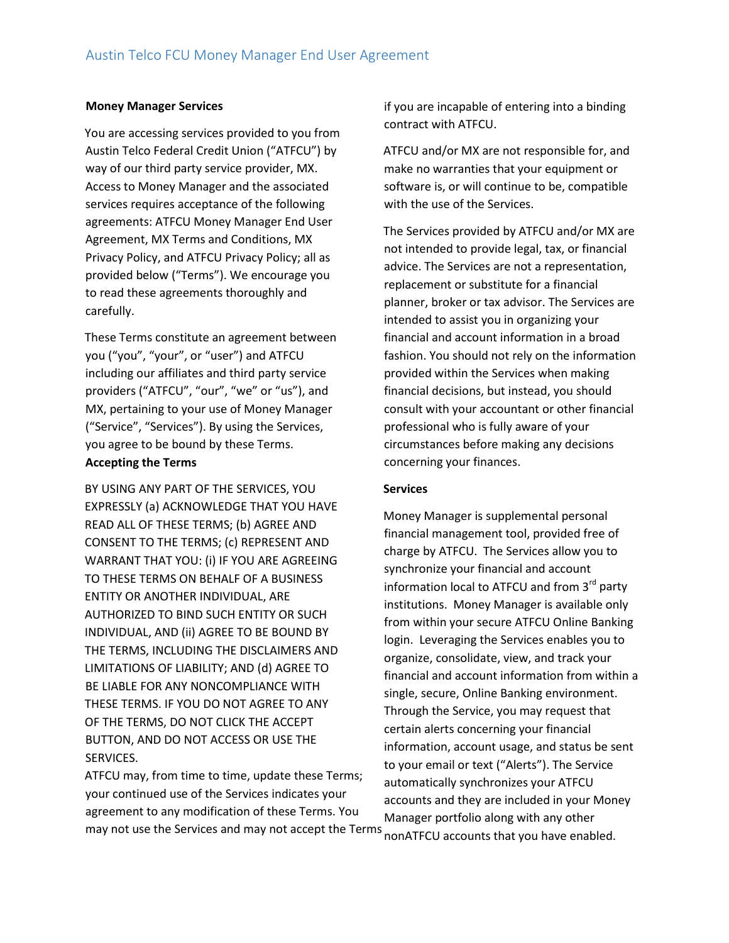## **Money Manager Services**

 You are accessing services provided to you from way of our third party service provider, MX. way of our third party service provider, MX.<br>Access to Money Manager and the associated Privacy Policy, and ATFCU Privacy Policy; all as to read these agreements thoroughly and carefully. Austin Telco Federal Credit Union ("ATFCU") by services requires acceptance of the following agreements: ATFCU Money Manager End User Agreement, MX Terms and Conditions, MX provided below ("Terms"). We encourage you

 you ("you", "your", or "user") and ATFCU providers ("ATFCU", "our", "we" or "us"), and MX, pertaining to your use of Money Manager you agree to be bound by these Terms. These Terms constitute an agreement between including our affiliates and third party service ("Service", "Services"). By using the Services, **Accepting the Terms** 

 LIMITATIONS OF LIABILITY; AND (d) AGREE TO BY USING ANY PART OF THE SERVICES, YOU EXPRESSLY (a) ACKNOWLEDGE THAT YOU HAVE READ ALL OF THESE TERMS; (b) AGREE AND CONSENT TO THE TERMS; (c) REPRESENT AND WARRANT THAT YOU: (i) IF YOU ARE AGREEING TO THESE TERMS ON BEHALF OF A BUSINESS ENTITY OR ANOTHER INDIVIDUAL, ARE AUTHORIZED TO BIND SUCH ENTITY OR SUCH INDIVIDUAL, AND (ii) AGREE TO BE BOUND BY THE TERMS, INCLUDING THE DISCLAIMERS AND BE LIABLE FOR ANY NONCOMPLIANCE WITH THESE TERMS. IF YOU DO NOT AGREE TO ANY OF THE TERMS, DO NOT CLICK THE ACCEPT BUTTON, AND DO NOT ACCESS OR USE THE SERVICES.

 your continued use of the Services indicates your agreement to any modification of these Terms. You ATFCU may, from time to time, update these Terms; may not use the Services and may not accept the Terms <sub>nonATFCU</sub> accounts that you have enabled.

contract with ATFCU. if you are incapable of entering into a binding

 make no warranties that your equipment or with the use of the Services. ATFCU and/or MX are not responsible for, and software is, or will continue to be, compatible

with the use of the Services.<br>The Services provided by ATFCU and/or MX are professional who is fully aware of your concerning your finances. not intended to provide legal, tax, or financial advice. The Services are not a representation, replacement or substitute for a financial planner, broker or tax advisor. The Services are intended to assist you in organizing your financial and account information in a broad fashion. You should not rely on the information provided within the Services when making financial decisions, but instead, you should consult with your accountant or other financial circumstances before making any decisions

## **Services**

 charge by ATFCU. The Services allow you to synchronize your financial and account institutions. Money Manager is available only login. Leveraging the Services enables you to to your email or text ("Alerts"). The Service Manager portfolio along with any other Money Manager is supplemental personal financial management tool, provided free of information local to ATFCU and from  $3<sup>rd</sup>$  party from within your secure ATFCU Online Banking organize, consolidate, view, and track your financial and account information from within a single, secure, Online Banking environment. Through the Service, you may request that certain alerts concerning your financial information, account usage, and status be sent automatically synchronizes your ATFCU accounts and they are included in your Money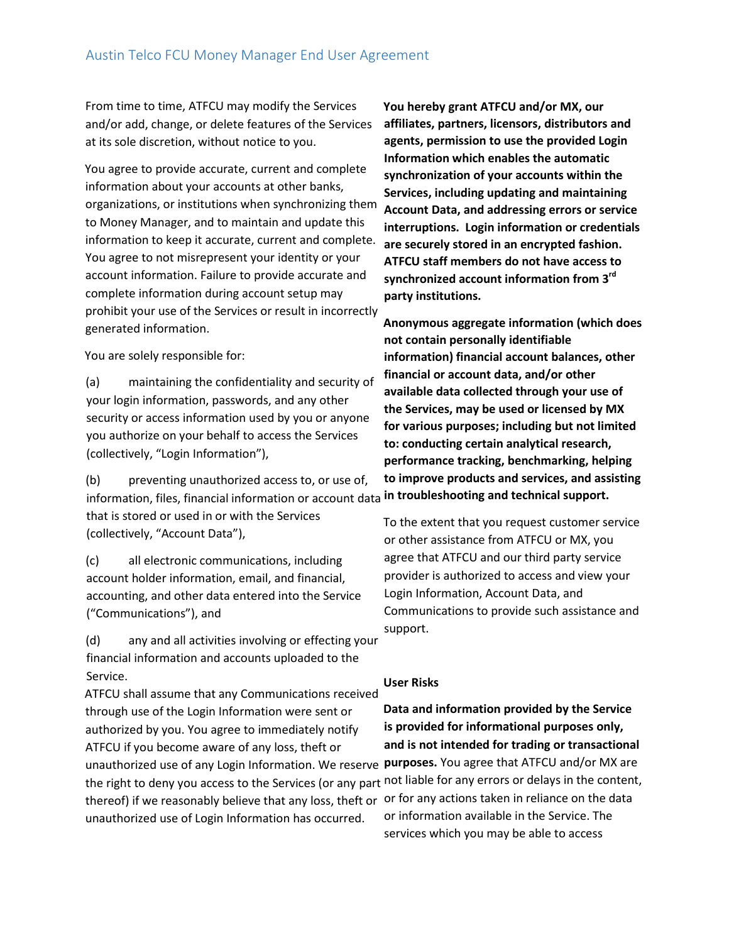and/or add, change, or delete features of the Services at its sole discretion, without notice to you. From time to time, ATFCU may modify the Services

 complete information during account setup may generated information. You agree to provide accurate, current and complete information about your accounts at other banks, organizations, or institutions when synchronizing them to Money Manager, and to maintain and update this information to keep it accurate, current and complete. You agree to not misrepresent your identity or your account information. Failure to provide accurate and prohibit your use of the Services or result in incorrectly From time to three between the services and **Marify grant ATFCU and/or MX, our the Services and ATFCU and the Mariformation has occurred use of Login Information has occurred use of Login Information has occurred in a matt** 

You are solely responsible for:

 security or access information used by you or anyone you authorize on your behalf to access the Services (collectively, "Login Information"), (a) maintaining the confidentiality and security of your login information, passwords, and any other

(collectively, "Login Information"),<br>(b) preventing unauthorized access to, or use of,  information, files, financial information or account data **in troubleshooting and technical support.**  that is stored or used in or with the Services (collectively, "Account Data"),

 ("Communications"), and (c) all electronic communications, including account holder information, email, and financial, accounting, and other data entered into the Service

 (d) any and all activities involving or effecting your financial information and accounts uploaded to the Service.

unauthorized use of Login Information has occurred. unauthorized use of any Login Information. We reserve **purposes.** You agree that ATFCU and/or MX are the right to deny you access to the Services (or any part not liable for any errors or delays in the content, thereof) if we reasonably believe that any loss, theft or or for any actions taken in reliance on the data ATFCU shall assume that any Communications received through use of the Login Information were sent or authorized by you. You agree to immediately notify ATFCU if you become aware of any loss, theft or

 **synchronization of your accounts within the interruptions. Login information or credentials**  are securely stored in an encrypted fashion. party institutions. **affiliates, partners, licensors, distributors and agents, permission to use the provided Login Information which enables the automatic Services, including updating and maintaining Account Data, and addressing errors or service ATFCU staff members do not have access to synchronized account information from 3rd** 

 **not contain personally identifiable to: conducting certain analytical research, Anonymous aggregate information (which does information) financial account balances, other financial or account data, and/or other available data collected through your use of the Services, may be used or licensed by MX for various purposes; including but not limited performance tracking, benchmarking, helping to improve products and services, and assisting** 

 or other assistance from ATFCU or MX, you support. To the extent that you request customer service agree that ATFCU and our third party service provider is authorized to access and view your Login Information, Account Data, and Communications to provide such assistance and

## **User Risks**

 or information available in the Service. The services which you may be able to access **Data and information provided by the Service is provided for informational purposes only, and is not intended for trading or transactional**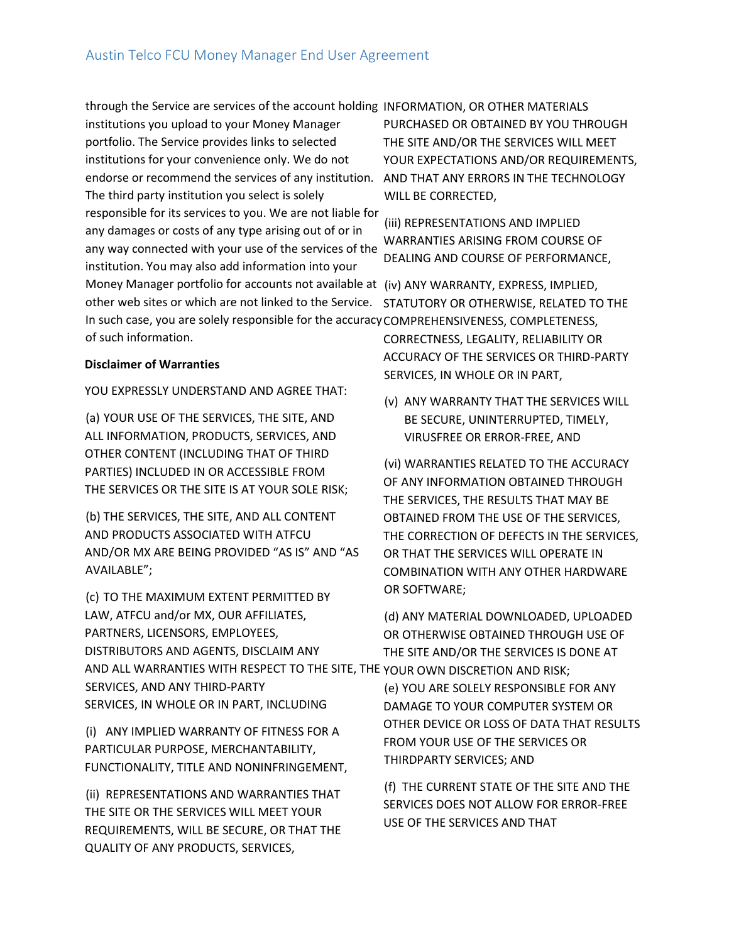portfolio. The Service provides links to selected institutions for your convenience only. We do not responsible for its services to you. We are not liable for any damages or costs of any type arising out of or in institution. You may also add information into your other web sites or which are not linked to the Service. STATUTORY OR OTHERWISE, RELATED TO THE of such information. Money Manager portfolio for accounts not available at (iv) ANY WARRANTY, EXPRESS, IMPLIED,<br>Money Manager portfolio for accounts not available at (iv) ANY WARRANTY, EXPRESS, IMPLIED, through the Service are services of the account holding INFORMATION, OR OTHER MATERIALS institutions you upload to your Money Manager endorse or recommend the services of any institution. AND THAT ANY ERRORS IN THE TECHNOLOGY The third party institution you select is solely any way connected with your use of the services of the In such case, you are solely responsible for the accuracy COMPREHENSIVENESS, COMPLETENESS,

## **Disclaimer of Warranties**

 YOU EXPRESSLY UNDERSTAND AND AGREE THAT: (a) YOUR USE OF THE SERVICES, THE SITE, AND OTHER CONTENT (INCLUDING THAT OF THIRD THE SERVICES OR THE SITE IS AT YOUR SOLE RISK; ALL INFORMATION, PRODUCTS, SERVICES, AND PARTIES) INCLUDED IN OR ACCESSIBLE FROM

 AND/OR MX ARE BEING PROVIDED "AS IS" AND "AS AVAILABLE"; (b) THE SERVICES, THE SITE, AND ALL CONTENT AND PRODUCTS ASSOCIATED WITH ATFCU

 AND ALL WARRANTIES WITH RESPECT TO THE SITE, THE YOUR OWN DISCRETION AND RISK; (c) TO THE MAXIMUM EXTENT PERMITTED BY LAW, ATFCU and/or MX, OUR AFFILIATES, PARTNERS, LICENSORS, EMPLOYEES, DISTRIBUTORS AND AGENTS, DISCLAIM ANY SERVICES, AND ANY THIRD-PARTY

SERVICES, IN WHOLE OR IN PART, INCLUDING<br>(i) ANY IMPLIED WARRANTY OF FITNESS FOR A PARTICULAR PURPOSE, MERCHANTABILITY,

 FUNCTIONALITY, TITLE AND NONINFRINGEMENT, (ii) REPRESENTATIONS AND WARRANTIES THAT THE SITE OR THE SERVICES WILL MEET YOUR REQUIREMENTS, WILL BE SECURE, OR THAT THE QUALITY OF ANY PRODUCTS, SERVICES,

 THE SITE AND/OR THE SERVICES WILL MEET WILL BE CORRECTED, PURCHASED OR OBTAINED BY YOU THROUGH YOUR EXPECTATIONS AND/OR REQUIREMENTS,

DEALING AND COURSE OF PERFORMANCE, (iii) REPRESENTATIONS AND IMPLIED WARRANTIES ARISING FROM COURSE OF

SERVICES, IN WHOLE OR IN PART, CORRECTNESS, LEGALITY, RELIABILITY OR ACCURACY OF THE SERVICES OR THIRD-PARTY

 BE SECURE, UNINTERRUPTED, TIMELY, VIRUSFREE OR ERROR-FREE, AND (v) ANY WARRANTY THAT THE SERVICES WILL

 THE SERVICES, THE RESULTS THAT MAY BE COMBINATION WITH ANY OTHER HARDWARE OR SOFTWARE; (vi) WARRANTIES RELATED TO THE ACCURACY OF ANY INFORMATION OBTAINED THROUGH OBTAINED FROM THE USE OF THE SERVICES, THE CORRECTION OF DEFECTS IN THE SERVICES, OR THAT THE SERVICES WILL OPERATE IN

(d) ANY MATERIAL DOWNLOADED, UPLOADED OR OTHERWISE OBTAINED THROUGH USE OF THE SITE AND/OR THE SERVICES IS DONE AT

 OTHER DEVICE OR LOSS OF DATA THAT RESULTS THIRDPARTY SERVICES; AND (e) YOU ARE SOLELY RESPONSIBLE FOR ANY DAMAGE TO YOUR COMPUTER SYSTEM OR FROM YOUR USE OF THE SERVICES OR

 USE OF THE SERVICES AND THAT (f) THE CURRENT STATE OF THE SITE AND THE SERVICES DOES NOT ALLOW FOR ERROR-FREE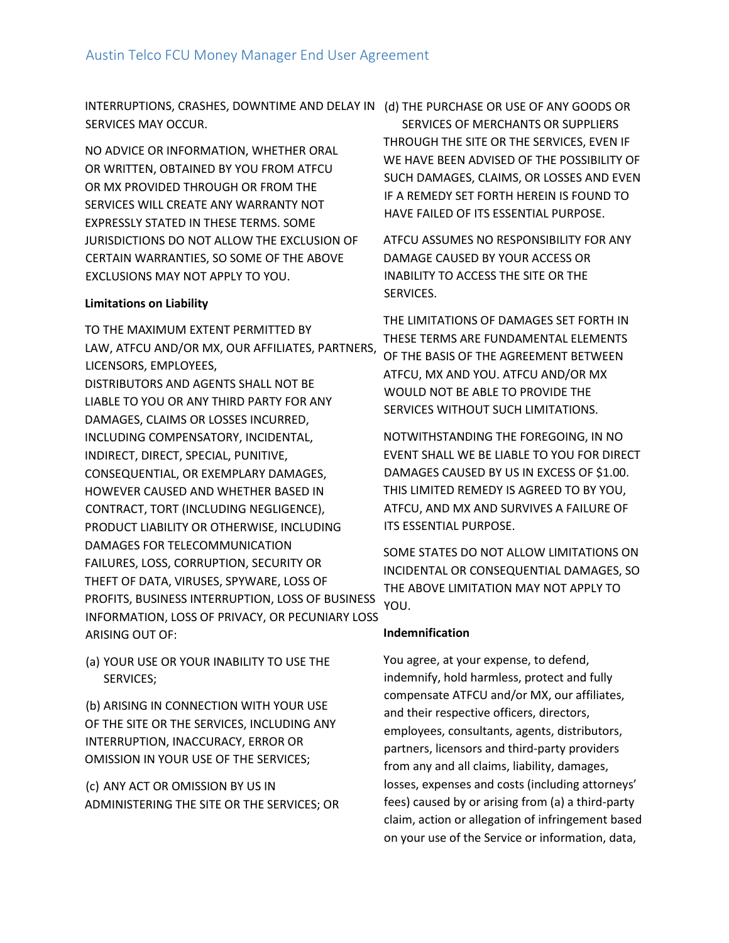INTERRUPTIONS, CRASHES, DOWNTIME AND DELAY IN SERVICES MAY OCCUR.

 EXCLUSIONS MAY NOT APPLY TO YOU. NO ADVICE OR INFORMATION, WHETHER ORAL OR WRITTEN, OBTAINED BY YOU FROM ATFCU OR MX PROVIDED THROUGH OR FROM THE SERVICES WILL CREATE ANY WARRANTY NOT EXPRESSLY STATED IN THESE TERMS. SOME JURISDICTIONS DO NOT ALLOW THE EXCLUSION OF CERTAIN WARRANTIES, SO SOME OF THE ABOVE

## **Limitations on Liability**

 LIABLE TO YOU OR ANY THIRD PARTY FOR ANY THEFT OF DATA, VIRUSES, SPYWARE, LOSS OF INFORMATION, LOSS OF PRIVACY, OR PECUNIARY LOSS ARISING OUT OF: TO THE MAXIMUM EXTENT PERMITTED BY LAW, ATFCU AND/OR MX, OUR AFFILIATES, PARTNERS, LICENSORS, EMPLOYEES, DISTRIBUTORS AND AGENTS SHALL NOT BE DAMAGES, CLAIMS OR LOSSES INCURRED, INCLUDING COMPENSATORY, INCIDENTAL, INDIRECT, DIRECT, SPECIAL, PUNITIVE, CONSEQUENTIAL, OR EXEMPLARY DAMAGES, HOWEVER CAUSED AND WHETHER BASED IN CONTRACT, TORT (INCLUDING NEGLIGENCE), PRODUCT LIABILITY OR OTHERWISE, INCLUDING DAMAGES FOR TELECOMMUNICATION FAILURES, LOSS, CORRUPTION, SECURITY OR PROFITS, BUSINESS INTERRUPTION, LOSS OF BUSINESS INTERINGTIONS, CRASS COMPRESS OR USE THE PURCHASE OR USE THE SITE OR THE SERVICES; OR INCOLS OR THE SERVICES; VEN IF ANY GOODS OR MATERITS OR NOTIFIES TO NEW THAN A SUCH DAMAGE CAUSE OR THE SERVICES; VEN IF ANY GOODS OR AN

SERVICES; (a) YOUR USE OR YOUR INABILITY TO USE THE

 INTERRUPTION, INACCURACY, ERROR OR (b) ARISING IN CONNECTION WITH YOUR USE OF THE SITE OR THE SERVICES, INCLUDING ANY

 OMISSION IN YOUR USE OF THE SERVICES; (c) ANY ACT OR OMISSION BY US IN (c) ANY ACT OR OMISSION BY US IN ADMINISTERING THE SITE OR THE SERVICES; OR

 SERVICES OF MERCHANTS OR SUPPLIERS THROUGH THE SITE OR THE SERVICES, EVEN IF SUCH DAMAGES, CLAIMS, OR LOSSES AND EVEN HAVE FAILED OF ITS ESSENTIAL PURPOSE. WE HAVE BEEN ADVISED OF THE POSSIBILITY OF IF A REMEDY SET FORTH HEREIN IS FOUND TO

ATFCU ASSUMES NO RESPONSIBILITY FOR ANY DAMAGE CAUSED BY YOUR ACCESS OR INABILITY TO ACCESS THE SITE OR THE SERVICES.

 ATFCU, MX AND YOU. ATFCU AND/OR MX THE LIMITATIONS OF DAMAGES SET FORTH IN THESE TERMS ARE FUNDAMENTAL ELEMENTS OF THE BASIS OF THE AGREEMENT BETWEEN WOULD NOT BE ABLE TO PROVIDE THE SERVICES WITHOUT SUCH LIMITATIONS.

 EVENT SHALL WE BE LIABLE TO YOU FOR DIRECT THIS LIMITED REMEDY IS AGREED TO BY YOU, ITS ESSENTIAL PURPOSE. NOTWITHSTANDING THE FOREGOING, IN NO DAMAGES CAUSED BY US IN EXCESS OF \$1.00. ATFCU, AND MX AND SURVIVES A FAILURE OF

 INCIDENTAL OR CONSEQUENTIAL DAMAGES, SO SOME STATES DO NOT ALLOW LIMITATIONS ON THE ABOVE LIMITATION MAY NOT APPLY TO YOU.

#### **Indemnification**

You agree, at your expense, to defend, indemnify, hold harmless, protect and fully compensate ATFCU and/or MX, our affiliates, and their respective officers, directors, employees, consultants, agents, distributors, partners, licensors and third-party providers from any and all claims, liability, damages, losses, expenses and costs (including attorneys' fees) caused by or arising from (a) a third-party claim, action or allegation of infringement based on your use of the Service or information, data,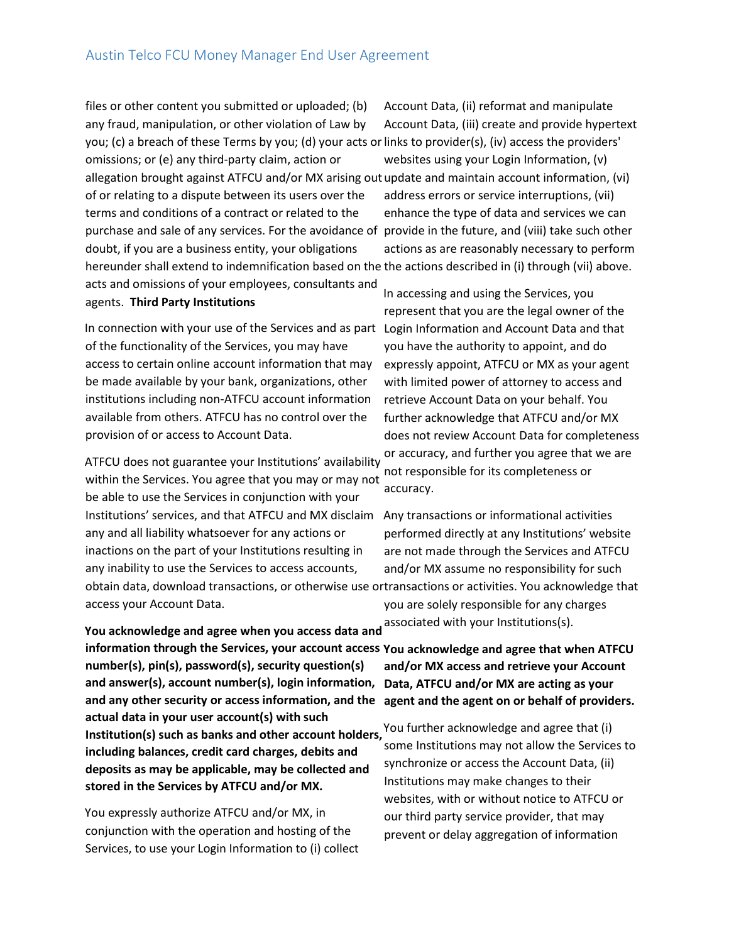any fraud, manipulation, or other violation of Law by you; (c) a breach of these Terms by you; (d) your acts or links to provider(s), (iv) access the providers' omissions; or (e) any third-party claim, action or purchase and sale of any services. For the avoidance of provide in the future, and (viii) take such other hereunder shall extend to indemnification based on the the actions described in (i) through (vii) above.<br>acts and omissions of your employees, consultants and<br>accessing and using the Services, you acts and omissions of your employees, consultants and files or other content you submitted or uploaded; (b) allegation brought against ATFCU and/or MX arising out update and maintain account information, (vi) of or relating to a dispute between its users over the terms and conditions of a contract or related to the doubt, if you are a business entity, your obligations

agents. **Third Party Institutions** 

 In connection with your use of the Services and as part Login Information and Account Data and that of the functionality of the Services, you may have access to certain online account information that may be made available by your bank, organizations, other provision of or access to Account Data. institutions including non-ATFCU account information available from others. ATFCU has no control over the

 access your Account Data. ATFCU does not guarantee your Institutions' availability within the Services. You agree that you may or may not be able to use the Services in conjunction with your whill the services fou ugree that you hay or hay not accuracy.<br>Be able to use the Services in conjunction with your<br>Institutions' services, and that ATFCU and MX disclaim Any transactions or informational activities any and all liability whatsoever for any actions or inactions on the part of your Institutions resulting in any inability to use the Services to access accounts, obtain data, download transactions, or otherwise use ortransactions or activities. You acknowledge that

**You acknowledge and agree when you access data and** associated with your Institutions(s). **information through the Services, your account access You acknowledge and agree that when ATFCU number(s), pin(s), password(s), security question(s) and answer(s), account number(s), login information, and any other security or access information, and the actual data in your user account(s) with such**  Institution(s) such as banks and other account holders, <sup>You further acknowledge and agree that (i)</sup> **including balances, credit card charges, debits and deposits as may be applicable, may be collected and stored in the Services by ATFCU and/or MX.** 

You expressly authorize ATFCU and/or MX, in conjunction with the operation and hosting of the Services, to use your Login Information to (i) collect Account Data, (ii) reformat and manipulate Account Data, (iii) create and provide hypertext websites using your Login Information, (v) address errors or service interruptions, (vii) enhance the type of data and services we can actions as are reasonably necessary to perform

In accessing and using the Services, you represent that you are the legal owner of the expressly appoint, ATFCU or MX as your agent further acknowledge that ATFCU and/or MX accuracy. you have the authority to appoint, and do with limited power of attorney to access and retrieve Account Data on your behalf. You does not review Account Data for completeness or accuracy, and further you agree that we are not responsible for its completeness or

 and/or MX assume no responsibility for such performed directly at any Institutions' website are not made through the Services and ATFCU you are solely responsible for any charges

# **Data, ATFCU and/or MX are acting as your and/or MX access and retrieve your Account agent and the agent on or behalf of providers.**

 synchronize or access the Account Data, (ii) Institutions may make changes to their our third party service provider, that may some Institutions may not allow the Services to websites, with or without notice to ATFCU or prevent or delay aggregation of information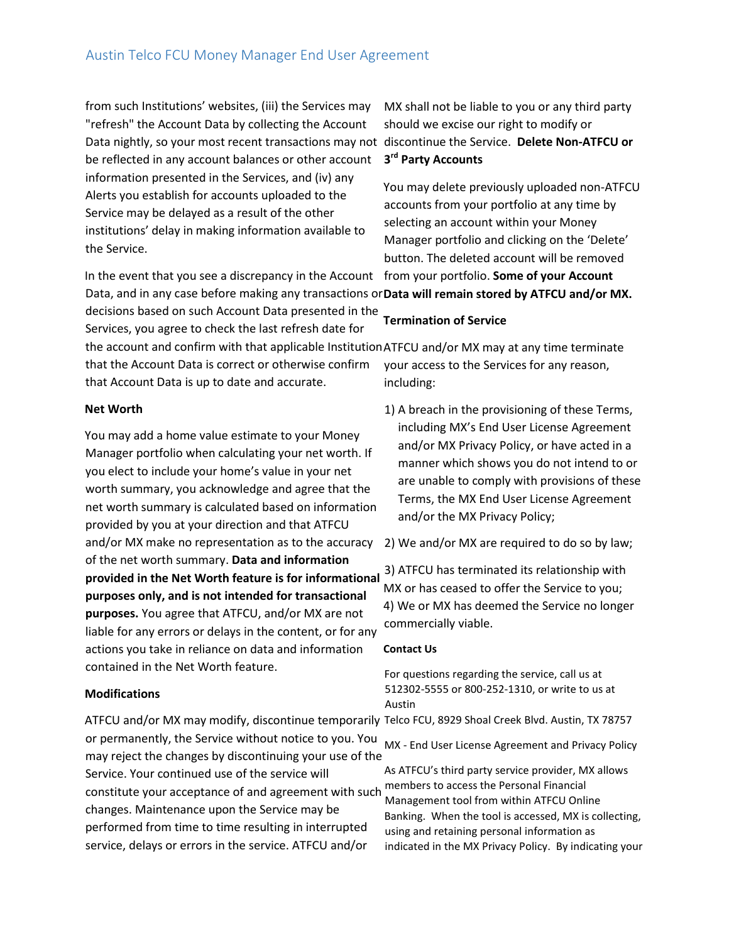Alerts you establish for accounts uploaded to the Service may be delayed as a result of the other the Service. Data nightly, so your most recent transactions may not discontinue the Service. **Delete Non-ATFCU or**  from such Institutions' websites, (iii) the Services may "refresh" the Account Data by collecting the Account be reflected in any account balances or other account information presented in the Services, and (iv) any institutions' delay in making information available to

Data, and in any case before making any transactions or **Data will remain stored by ATFCU and/or MX.** decisions based on such Account Data presented in the Services, you agree to check the last refresh date for

 the account and confirm with that applicable Institution ATFCU and/or MX may at any time terminate that Account Data is up to date and accurate. that the Account Data is correct or otherwise confirm

#### **Net Worth**

 You may add a home value estimate to your Money Manager portfolio when calculating your net worth. If contained in the Net Worth feature. and/or MX make no representation as to the accuracy 2) We and/or MX are required to do so by law; you elect to include your home's value in your net worth summary, you acknowledge and agree that the net worth summary is calculated based on information provided by you at your direction and that ATFCU of the net worth summary. **Data and information provided in the Net Worth feature is for informational purposes only, and is not intended for transactional purposes.** You agree that ATFCU, and/or MX are not liable for any errors or delays in the content, or for any actions you take in reliance on data and information

### **Modifications**

ATFCU and/or MX may modify, discontinue temporarily Telco FCU, 8929 Shoal Creek Blvd. Austin, TX 78757 or permanently, the Service without notice to you. You may reject the changes by discontinuing your use of the constitute your acceptance of and agreement with such service, delays or errors in the service. ATFCU and/or Service. Your continued use of the service will changes. Maintenance upon the Service may be performed from time to time resulting in interrupted

 should we excise our right to modify or MX shall not be liable to you or any third party **3rd Party Accounts** 

the Service.<br>button. The deleted account will be remove<br>In the event that you see a discrepancy in the Account **interview of your Account** *In*  accounts from your portfolio at any time by You may delete previously uploaded non-ATFCU selecting an account within your Money Manager portfolio and clicking on the 'Delete' button. The deleted account will be removed

#### **Termination of Service**

including: your access to the Services for any reason,

 including MX's End User License Agreement and/or MX Privacy Policy, or have acted in a manner which shows you do not intend to or are unable to comply with provisions of these Terms, the MX End User License Agreement and/or the MX Privacy Policy; 1) A breach in the provisioning of these Terms,

MX or has ceased to offer the Service to you; commercially viable. 3) ATFCU has terminated its relationship with 4) We or MX has deemed the Service no longer

#### **Contact Us**

For questions regarding the service, call us at 512302-5555 or 800-252-1310, or write to us at Austin

MX - End User License Agreement and Privacy Policy

As ATFCU's third party service provider, MX allows members to access the Personal Financial Management tool from within ATFCU Online Banking. When the tool is accessed, MX is collecting, using and retaining personal information as indicated in the MX Privacy Policy. By indicating your